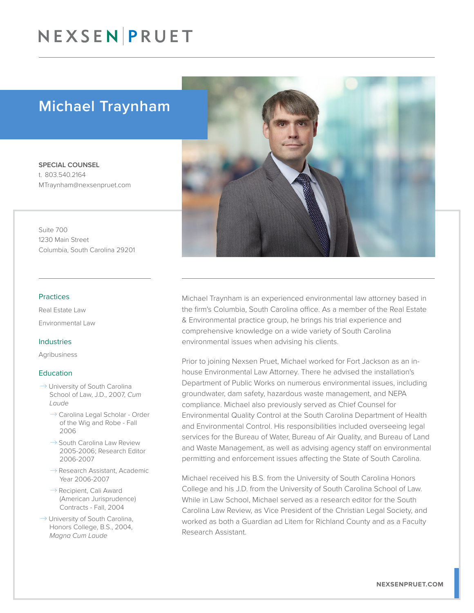# NEXSENPRUET

## Michael Traynham

SPECIAL COUNSEL t. 803.540.2164 MTraynham@nexsenpruet.com

Suite 700 1230 Main Street Columbia, South Carolina 29201

#### Practices

Real Estate Law Environmental Law

#### Industries

Agribusiness

#### **Education**

- $\rightarrow$  University of South Carolina School of Law, J.D., 2007, *Cum Laude*
	- $\rightarrow$  Carolina Legal Scholar Order of the Wig and Robe - Fall 2006
	- $\rightarrow$  South Carolina Law Review 2005-2006; Research Editor 2006-2007
	- $\rightarrow$  Research Assistant, Academic Year 2006-2007
	- $\rightarrow$  Recipient, Cali Award (American Jurisprudence) Contracts - Fall, 2004
- $\rightarrow$  University of South Carolina, Honors College, B.S., 2004, *Magna Cum Laude*



Michael Traynham is an experienced environmental law attorney based in the firm's Columbia, South Carolina office. As a member of the Real Estate & Environmental practice group, he brings his trial experience and comprehensive knowledge on a wide variety of South Carolina environmental issues when advising his clients.

Prior to joining Nexsen Pruet, Michael worked for Fort Jackson as an inhouse Environmental Law Attorney. There he advised the installation's Department of Public Works on numerous environmental issues, including groundwater, dam safety, hazardous waste management, and NEPA compliance. Michael also previously served as Chief Counsel for Environmental Quality Control at the South Carolina Department of Health and Environmental Control. His responsibilities included overseeing legal services for the Bureau of Water, Bureau of Air Quality, and Bureau of Land and Waste Management, as well as advising agency staff on environmental permitting and enforcement issues affecting the State of South Carolina.

Michael received his B.S. from the University of South Carolina Honors College and his J.D. from the University of South Carolina School of Law. While in Law School, Michael served as a research editor for the South Carolina Law Review, as Vice President of the Christian Legal Society, and worked as both a Guardian ad Litem for Richland County and as a Faculty Research Assistant.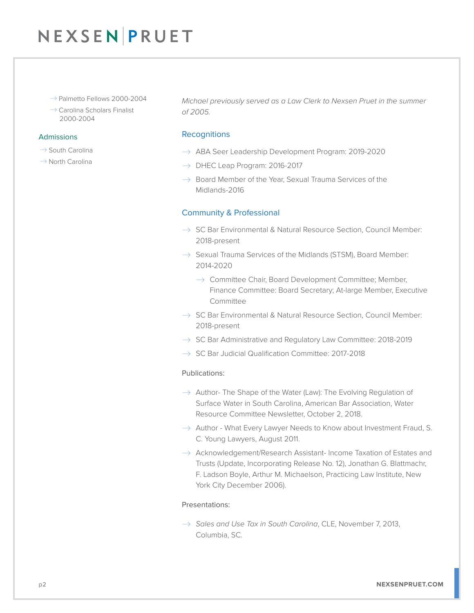# NEXSENPRUET

- $\rightarrow$  Palmetto Fellows 2000-2004
- $\rightarrow$  Carolina Scholars Finalist 2000-2004

#### Admissions

- $\rightarrow$  South Carolina
- $\rightarrow$  North Carolina

*Michael previously served as a Law Clerk to Nexsen Pruet in the summer of 2005.*

### **Recognitions**

- $\rightarrow$  ABA Seer Leadership Development Program: 2019-2020
- $\rightarrow$  DHEC Leap Program: 2016-2017
- $\rightarrow$  Board Member of the Year, Sexual Trauma Services of the Midlands-2016

### Community & Professional

- $\rightarrow$  SC Bar Environmental & Natural Resource Section, Council Member: 2018-present
- $\rightarrow$  Sexual Trauma Services of the Midlands (STSM), Board Member: 2014-2020
	- $\rightarrow$  Committee Chair, Board Development Committee; Member, Finance Committee: Board Secretary; At-large Member, Executive Committee
- $\rightarrow$  SC Bar Environmental & Natural Resource Section, Council Member: 2018-present
- $\rightarrow$  SC Bar Administrative and Regulatory Law Committee: 2018-2019
- $\rightarrow$  SC Bar Judicial Qualification Committee: 2017-2018

### Publications:

- $\rightarrow$  Author- The Shape of the Water (Law): The Evolving Regulation of Surface Water in South Carolina, American Bar Association, Water Resource Committee Newsletter, October 2, 2018.
- $\rightarrow$  Author What Every Lawyer Needs to Know about Investment Fraud, S. C. Young Lawyers, August 2011.
- $\rightarrow$  Acknowledgement/Research Assistant- Income Taxation of Estates and Trusts (Update, Incorporating Release No. 12), Jonathan G. Blattmachr, F. Ladson Boyle, Arthur M. Michaelson, Practicing Law Institute, New York City December 2006).

#### Presentations:

� *Sales and Use Tax in South Carolina*, CLE, November 7, 2013, Columbia, SC.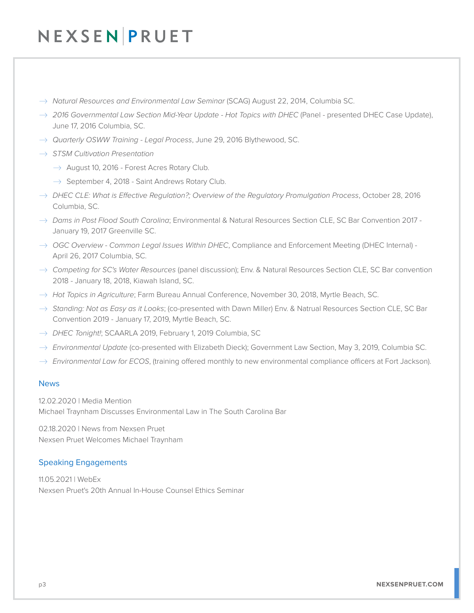# NEXSENPRUET

- � *Natural Resources and Environmental Law Seminar* (SCAG) August 22, 2014, Columbia SC.
- $\rightarrow$  2016 Governmental Law Section Mid-Year Update Hot Topics with DHEC (Panel presented DHEC Case Update), June 17, 2016 Columbia, SC.
- � *Quarterly OSWW Training Legal Process*, June 29, 2016 Blythewood, SC.
- � *STSM Cultivation Presentation* 
	- $\rightarrow$  August 10, 2016 Forest Acres Rotary Club.
	- $\rightarrow$  September 4, 2018 Saint Andrews Rotary Club.
- � *DHEC CLE: What is Effective Regulation?; Overview of the Regulatory Promulgation Process*, October 28, 2016 Columbia, SC.
- � *Dams in Post Flood South Carolina*; Environmental & Natural Resources Section CLE, SC Bar Convention 2017 January 19, 2017 Greenville SC.
- → OGC Overview Common Legal Issues Within DHEC, Compliance and Enforcement Meeting (DHEC Internal) -April 26, 2017 Columbia, SC.
- � *Competing for SC's Water Resources* (panel discussion); Env. & Natural Resources Section CLE, SC Bar convention 2018 - January 18, 2018, Kiawah Island, SC.
- � *Hot Topics in Agriculture*; Farm Bureau Annual Conference, November 30, 2018, Myrtle Beach, SC.
- $\rightarrow$  *Standing: Not as Easy as it Looks*; (co-presented with Dawn Miller) Env. & Natrual Resources Section CLE, SC Bar Convention 2019 - January 17, 2019, Myrtle Beach, SC.
- � *DHEC Tonight!*; SCAARLA 2019, February 1, 2019 Columbia, SC
- → *Environmental Update* (co-presented with Elizabeth Dieck); Government Law Section, May 3, 2019, Columbia SC.
- $\rightarrow$  *Environmental Law for ECOS*, (training offered monthly to new environmental compliance officers at Fort Jackson).

### News

12.02.2020 | Media Mention Michael Traynham Discusses Environmental Law in The South Carolina Bar

02.18.2020 | News from Nexsen Pruet Nexsen Pruet Welcomes Michael Traynham

### Speaking Engagements

11.05.2021 | WebEx Nexsen Pruet's 20th Annual In-House Counsel Ethics Seminar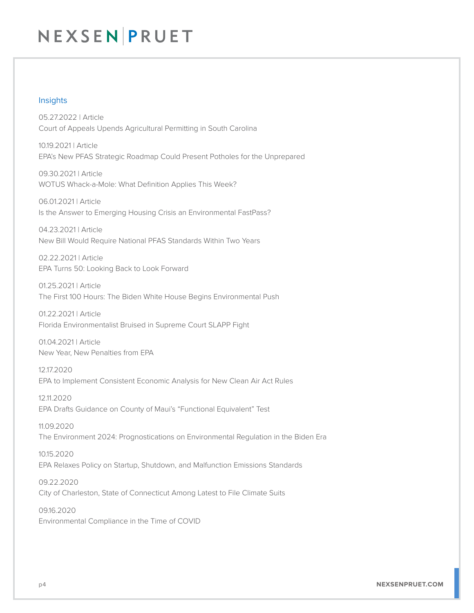# NEXSEN PRUET

### Insights

05.27.2022 | Article Court of Appeals Upends Agricultural Permitting in South Carolina

10.19.2021 | Article EPA's New PFAS Strategic Roadmap Could Present Potholes for the Unprepared

09.30.2021 | Article WOTUS Whack-a-Mole: What Definition Applies This Week?

06.01.2021 | Article Is the Answer to Emerging Housing Crisis an Environmental FastPass?

04.23.2021 | Article New Bill Would Require National PFAS Standards Within Two Years

02.22.2021 | Article EPA Turns 50: Looking Back to Look Forward

01.25.2021 | Article The First 100 Hours: The Biden White House Begins Environmental Push

01.22.2021 | Article Florida Environmentalist Bruised in Supreme Court SLAPP Fight

01.04.2021 | Article New Year, New Penalties from EPA

12.17.2020 EPA to Implement Consistent Economic Analysis for New Clean Air Act Rules

12.11.2020 EPA Drafts Guidance on County of Maui's "Functional Equivalent" Test

11.09.2020 The Environment 2024: Prognostications on Environmental Regulation in the Biden Era

10.15.2020 EPA Relaxes Policy on Startup, Shutdown, and Malfunction Emissions Standards

09.22.2020 City of Charleston, State of Connecticut Among Latest to File Climate Suits

09.16.2020 Environmental Compliance in the Time of COVID